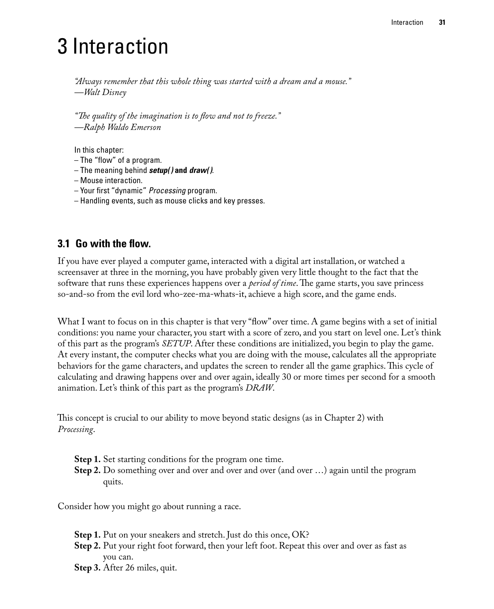# 3 Interaction

 *" Always remember that this whole thing was started with a dream and a mouse. " —Walt Disney* 

 *" ! e quality of the imagination is to fl ow and not to freeze. " —Ralph Waldo Emerson* 

In this chapter:

- $-$  The "flow" of a program.
- The meaning behind **setup( ) and draw( )** .
- Mouse interaction.
- Your first "dynamic" Processing program.
- Handling events, such as mouse clicks and key presses.

# **3.1 Go with the flow.**

If you have ever played a computer game, interacted with a digital art installation, or watched a screensaver at three in the morning, you have probably given very little thought to the fact that the software that runs these experiences happens over a *period of time*. The game starts, you save princess so-and-so from the evil lord who-zee-ma-whats-it, achieve a high score, and the game ends.

What I want to focus on in this chapter is that very "flow" over time. A game begins with a set of initial conditions: you name your character, you start with a score of zero, and you start on level one. Let's think of this part as the program's *SETUP*. After these conditions are initialized, you begin to play the game. At every instant, the computer checks what you are doing with the mouse, calculates all the appropriate behaviors for the game characters, and updates the screen to render all the game graphics. This cycle of calculating and drawing happens over and over again, ideally 30 or more times per second for a smooth animation. Let's think of this part as the program's *DRAW*.

This concept is crucial to our ability to move beyond static designs (as in Chapter 2) with *Processing*.

- **Step 1.** Set starting conditions for the program one time.
- **Step 2.** Do something over and over and over and over (and over ...) again until the program quits.

Consider how you might go about running a race.

- **Step 1.** Put on your sneakers and stretch. Just do this once, OK?
- **Step 2.** Put your right foot forward, then your left foot. Repeat this over and over as fast as you can.
- **Step 3.** After 26 miles, quit.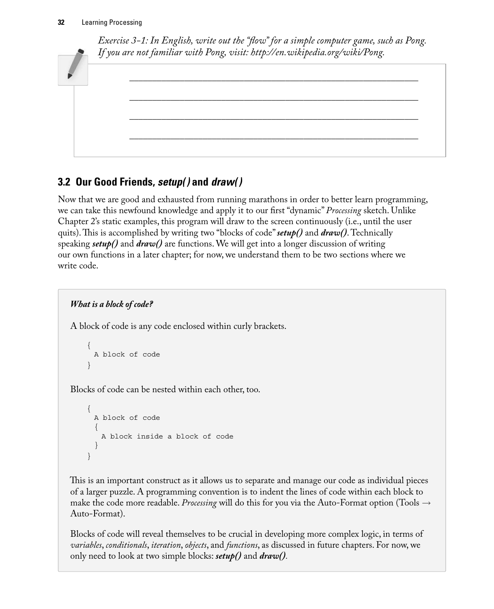*Exercise 3-1: In English, write out the "flow" for a simple computer game, such as Pong. If you are not familiar with Pong, visit: http://en.wikipedia.org/wiki/Pong .* 

\_\_\_\_\_\_\_\_\_\_\_\_\_\_\_\_\_\_\_\_\_\_\_\_\_\_\_\_\_\_\_\_\_\_\_\_\_\_\_\_\_\_\_\_\_\_\_\_\_\_\_\_\_\_\_\_\_\_\_\_\_\_\_

\_\_\_\_\_\_\_\_\_\_\_\_\_\_\_\_\_\_\_\_\_\_\_\_\_\_\_\_\_\_\_\_\_\_\_\_\_\_\_\_\_\_\_\_\_\_\_\_\_\_\_\_\_\_\_\_\_\_\_\_\_\_\_

\_\_\_\_\_\_\_\_\_\_\_\_\_\_\_\_\_\_\_\_\_\_\_\_\_\_\_\_\_\_\_\_\_\_\_\_\_\_\_\_\_\_\_\_\_\_\_\_\_\_\_\_\_\_\_\_\_\_\_\_\_\_\_

\_\_\_\_\_\_\_\_\_\_\_\_\_\_\_\_\_\_\_\_\_\_\_\_\_\_\_\_\_\_\_\_\_\_\_\_\_\_\_\_\_\_\_\_\_\_\_\_\_\_\_\_\_\_\_\_\_\_\_\_\_\_\_



 Now that we are good and exhausted from running marathons in order to better learn programming, we can take this newfound knowledge and apply it to our first "dynamic" Processing sketch. Unlike Chapter 2's static examples, this program will draw to the screen continuously (i.e., until the user quits). This is accomplished by writing two "blocks of code" *setup()* and **draw()**. Technically speaking  $\textit{setup}()$  and  $\textit{draw}($ ) are functions. We will get into a longer discussion of writing our own functions in a later chapter; for now, we understand them to be two sections where we write code.

## *What is a block of code?*

A block of code is any code enclosed within curly brackets.

```
 { 
  A block of code 
 }
```
Blocks of code can be nested within each other, too.

```
 { 
  A block of code 
\{ A block inside a block of code 
  } 
 }
```
This is an important construct as it allows us to separate and manage our code as individual pieces of a larger puzzle. A programming convention is to indent the lines of code within each block to make the code more readable. *Processing* will do this for you via the Auto-Format option (Tools  $\rightarrow$ Auto-Format).

 Blocks of code will reveal themselves to be crucial in developing more complex logic, in terms of *variables*, *conditionals*, *iteration*, *objects* , and *functions* , as discussed in future chapters. For now, we only need to look at two simple blocks: *setup*() and *draw***()**.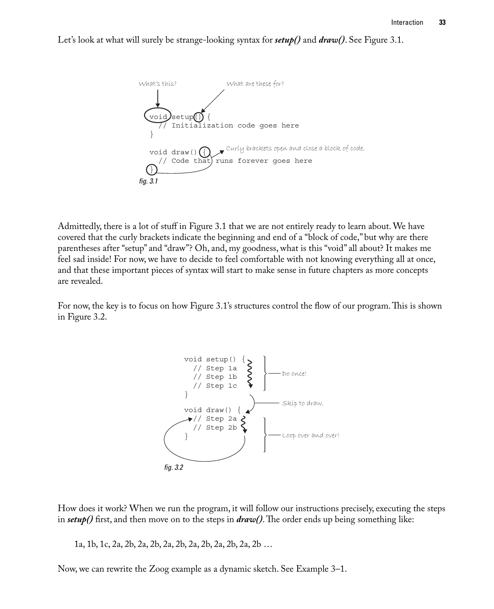Let's look at what will surely be strange-looking syntax for *setup( )* and *draw( )* . See Figure 3.1 .



Admittedly, there is a lot of stuff in Figure 3.1 that we are not entirely ready to learn about. We have covered that the curly brackets indicate the beginning and end of a " block of code, "but why are there parentheses after "setup" and "draw"? Oh, and, my goodness, what is this "void" all about? It makes me feel sad inside! For now, we have to decide to feel comfortable with not knowing everything all at once, and that these important pieces of syntax will start to make sense in future chapters as more concepts are revealed.

For now, the key is to focus on how Figure 3.1's structures control the flow of our program. This is shown in Figure 3.2.



How does it work? When we run the program, it will follow our instructions precisely, executing the steps in  $\text{setup}($  first, and then move on to the steps in  $\text{draw}($ ). The order ends up being something like:

1a, 1b, 1c, 2a, 2b, 2a, 2b, 2a, 2b, 2a, 2b, 2a, 2b, 2a, 2b …

Now, we can rewrite the Zoog example as a dynamic sketch. See Example 3–1 .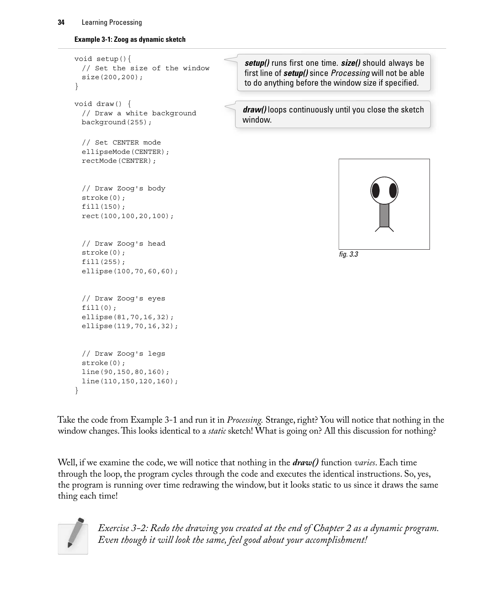#### **Example 3-1: Zoog as dynamic sketch**

```
 void setup() { 
  // Set the size of the window 
  size(200,200); 
 } 
 void draw() { 
  // Draw a white background 
  background(255); 
  // Set CENTER mode 
  ellipseMode(CENTER); 
  rectMode(CENTER); 
  // Draw Zoog's body 
  stroke(0); 
  fill(150); 
  rect(100,100,20,100); 
  // Draw Zoog's head 
  stroke(0); 
  fill(255); 
  ellipse(100,70,60,60); 
  // Draw Zoog's eyes 
 fill(0); ellipse(81,70,16,32); 
  ellipse(119,70,16,32); 
  // Draw Zoog's legs 
  stroke(0); 
  line(90,150,80,160); 
  line(110,150,120,160);
```
setup() runs first one time. size() should always be first line of **setup**() since *Processing* will not be able to do anything before the window size if specified.

**draw()** loops continuously until you close the sketch window.





Take the code from Example 3-1 and run it in *Processing.* Strange, right? You will notice that nothing in the window changes. This looks identical to a *static* sketch! What is going on? All this discussion for nothing?

Well, if we examine the code, we will notice that nothing in the **draw**() function *varies*. Each time through the loop, the program cycles through the code and executes the identical instructions. So, yes, the program is running over time redrawing the window, but it looks static to us since it draws the same thing each time!



}

 *Exercise 3-2: Redo the drawing you created at the end of Chapter 2 as a dynamic program. Even though it will look the same, feel good about your accomplishment!*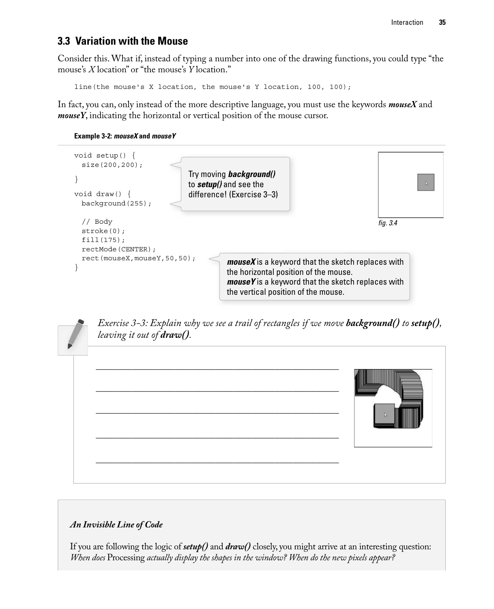## **3.3 Variation with the Mouse**

Consider this. What if, instead of typing a number into one of the drawing functions, you could type " the mouse's *X* location" or "the mouse's *Y* location."

line(the mouse's X location, the mouse's Y location, 100, 100);

In fact, you can, only instead of the more descriptive language, you must use the keywords *mouseX* and *mouseY*, indicating the horizontal or vertical position of the mouse cursor.

#### **Example 3-2: mouseX and mouseY**



*Exercise 3-3: Explain why we see a trail of rectangles if we move background() to setup(), leaving it out of draw()*.



## *An Invisible Line of Code*

If you are following the logic of  $\mathit{setup}()$  and  $\mathit{draw}($ ) closely, you might arrive at an interesting question: *When does* Processing *actually display the shapes in the window? When do the new pixels appear?*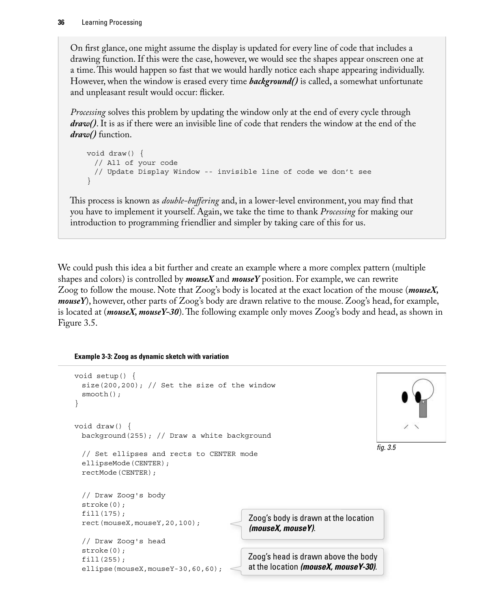On first glance, one might assume the display is updated for every line of code that includes a drawing function. If this were the case, however, we would see the shapes appear onscreen one at a time. This would happen so fast that we would hardly notice each shape appearing individually. However, when the window is erased every time **background**() is called, a somewhat unfortunate and unpleasant result would occur: flicker.

*Processing* solves this problem by updating the window only at the end of every cycle through *draw*(). It is as if there were an invisible line of code that renders the window at the end of the *draw()* function.

```
 void draw() { 
  // All of your code 
  // Update Display Window -- invisible line of code we don't see 
 }
```
This process is known as *double-buffering* and, in a lower-level environment, you may find that you have to implement it yourself. Again, we take the time to thank *Processing* for making our introduction to programming friendlier and simpler by taking care of this for us.

 We could push this idea a bit further and create an example where a more complex pattern (multiple shapes and colors) is controlled by *mouseX* and *mouseY* position. For example, we can rewrite Zoog to follow the mouse. Note that Zoog's body is located at the exact location of the mouse ( *mouseX, mouseY* ), however, other parts of Zoog's body are drawn relative to the mouse. Zoog's head, for example, is located at (*mouseX, mouseY-30*). The following example only moves Zoog's body and head, as shown in Figure 3.5.

#### **Example 3-3: Zoog as dynamic sketch with variation**

```
 void setup() { 
  size(200,200); // Set the size of the window 
 smooth();
 } 
 void draw() { 
  background(255); // Draw a white background 
   // Set ellipses and rects to CENTER mode 
  ellipseMode(CENTER); 
  rectMode(CENTER); 
  // Draw Zoog's body 
  stroke(0); 
  fill(175); 
  rect(mouseX,mouseY,20,100); 
  // Draw Zoog's head 
  stroke(0); 
  fill(255); 
  ellipse(mouseX,mouseY-30,60,60); 
                                                                               fia. 3.5
                                             Zoog's head is drawn above the body 
                                             at the location (mouseX, mouseY-30).
                                              Zoog's body is drawn at the location 
                                              (mouseX, mouseY).
```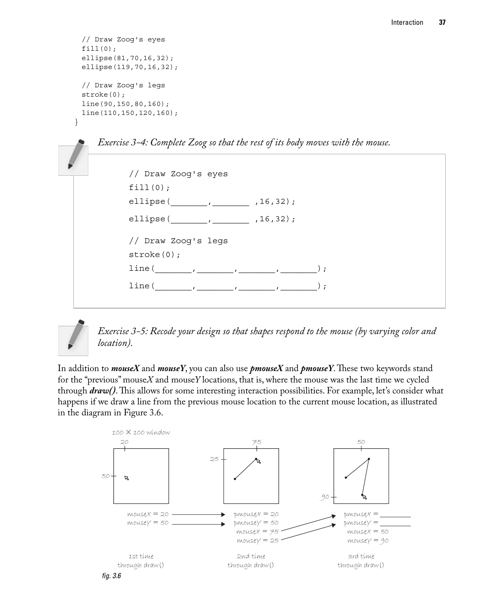```
 // Draw Zoog's eyes 
fill(0); ellipse(81,70,16,32); 
 ellipse(119,70,16,32); 
 // Draw Zoog's legs 
 stroke(0); 
 line(90,150,80,160); 
 line(110,150,120,160);
```
 *Exercise 3-4: Complete Zoog so that the rest of its body moves with the mouse.* 

| // Draw Zoog's eyes<br>fill(0);                     |    |
|-----------------------------------------------------|----|
| ellipse(<br>, 16, 32);<br>$\mathcal{L}$             |    |
| ellipse(<br>, 16, 32);<br>$\mathbf{r}$              |    |
| // Draw Zoog's legs<br>stroke(0);                   |    |
| line(<br>$\mathbf{r}$ , $\mathbf{r}$ , $\mathbf{r}$ | ); |
| line (<br>$\overline{1}$                            |    |



}

 *Exercise 3-5: Recode your design so that shapes respond to the mouse (by varying color and location).* 

In addition to *mouseX* and *mouseY*, you can also use *pmouseX* and *pmouseY*. These two keywords stand for the "previous" mouse *X* and mouse *Y* locations, that is, where the mouse was the last time we cycled through *draw()*. This allows for some interesting interaction possibilities. For example, let's consider what happens if we draw a line from the previous mouse location to the current mouse location, as illustrated in the diagram in Figure 3.6 .

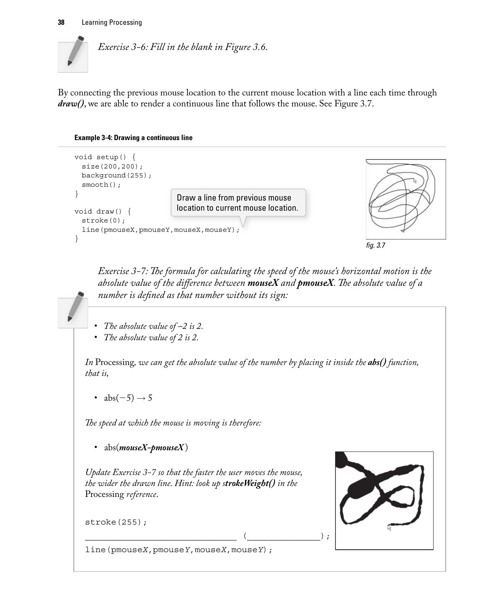#### **38** Learning Processing



By connecting the previous mouse location to the current mouse location with a line each time through  $draw()$ , we are able to render a continuous line that follows the mouse. See Figure 3.7.

#### **Example 3-4: Drawing a continuous line**



*Exercise 3-7: The formula for calculating the speed of the mouse's horizontal motion is the absolute value of the diff erence between mouseX and pmouseX . ! e absolute value of a*  number is defined as that number without its sign:

- *The absolute value of –2 is 2.*
- *The absolute value of 2 is 2.*

In Processing, we can get the absolute value of the number by placing it inside the **abs()** function, *that is,*

•  $abs(-5) \rightarrow 5$ 

*The speed at which the mouse is moving is therefore:* 

• abs( *mouseX - pmouseX* )

*Update Exercise 3-7 so that the faster the user moves the mouse, the wider the drawn line. Hint: look up strokeWeight( ) in the*  Processing *reference*.

stroke(255);



 $line(pmowski,pmouse Y,$ mouse  $X,$ mouse  $X$ , mouse  $Y$ );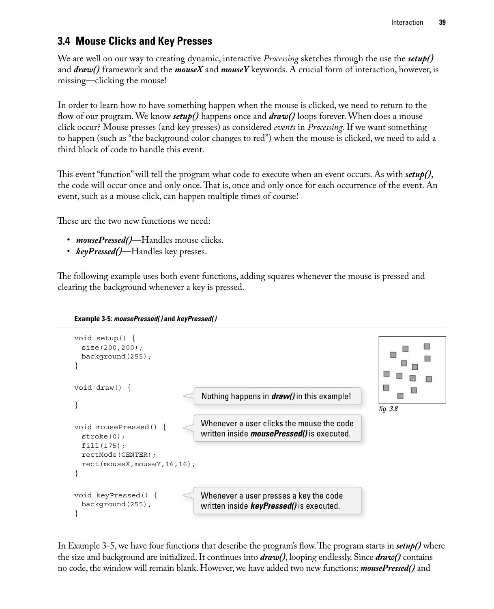# **3.4 Mouse Clicks and Key Presses**

We are well on our way to creating dynamic, interactive *Processing* sketches through the use the *setup*() and *draw( )* framework and the *mouseX* and *mouseY* keywords. A crucial form of interaction, however, is missing—clicking the mouse!

 In order to learn how to have something happen when the mouse is clicked, we need to return to the flow of our program. We know *setup()* happens once and  $\frac{d\eta}{d\omega}$  loops forever. When does a mouse click occur? Mouse presses (and key presses) as considered *events* in *Processing*. If we want something to happen (such as " the background color changes to red " ) when the mouse is clicked, we need to add a third block of code to handle this event.

This event "function" will tell the program what code to execute when an event occurs. As with  $setup()$ , the code will occur once and only once. That is, once and only once for each occurrence of the event. An event, such as a mouse click, can happen multiple times of course!

These are the two new functions we need:

- *mousePressed()*—Handles mouse clicks.
- *keyPressed()*—Handles key presses.

The following example uses both event functions, adding squares whenever the mouse is pressed and clearing the background whenever a key is pressed.

#### **Example 3-5: mousePressed( ) and keyPressed( )**



In Example 3-5, we have four functions that describe the program's flow. The program starts in *setup()* where the size and background are initialized. It continues into *draw( )*, looping endlessly. Since *draw( )* contains no code, the window will remain blank. However, we have added two new functions: *mousePressed( )* and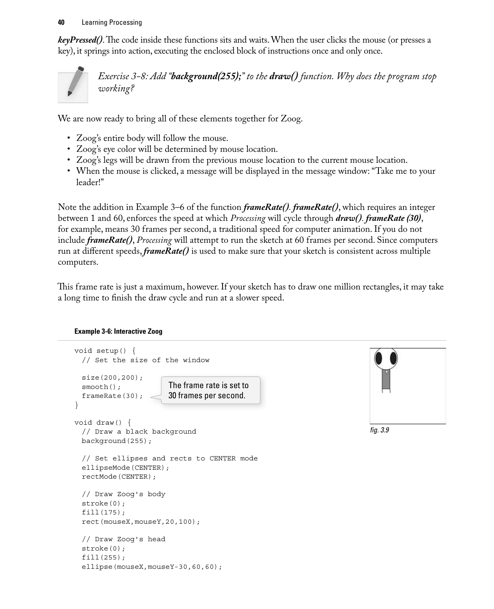*keyPressed()*. The code inside these functions sits and waits. When the user clicks the mouse (or presses a key), it springs into action, executing the enclosed block of instructions once and only once.



 *Exercise 3-8: Add " background(255); " to the draw( ) function. Why does the program stop working?* 

We are now ready to bring all of these elements together for Zoog.

- Zoog's entire body will follow the mouse.
- Zoog's eye color will be determined by mouse location.
- Zoog's legs will be drawn from the previous mouse location to the current mouse location.
- When the mouse is clicked, a message will be displayed in the message window: " Take me to your leader!"

Note the addition in Example 3–6 of the function *frameRate(). frameRate()*, which requires an integer between 1 and 60, enforces the speed at which *Processing* will cycle through *draw( ). frameRate (30)*, for example, means 30 frames per second, a traditional speed for computer animation. If you do not include *frameRate()*, *Processing* will attempt to run the sketch at 60 frames per second. Since computers run at different speeds, *frameRate()* is used to make sure that your sketch is consistent across multiple computers.

This frame rate is just a maximum, however. If your sketch has to draw one million rectangles, it may take a long time to finish the draw cycle and run at a slower speed.

### **Example 3-6: Interactive Zoog**

```
 void setup() { 
  // Set the size of the window 
  size(200,200); 
  smooth(); 
  frameRate(30) ;
}
 void draw() { 
  // Draw a black background 
  background(255); 
  // Set ellipses and rects to CENTER mode 
  ellipseMode(CENTER); 
  rectMode(CENTER); 
  // Draw Zoog's body 
  stroke(0); 
  fill(175); 
  rect(mouseX,mouseY,20,100); 
  // Draw Zoog's head 
  stroke(0); 
  fill(255); 
 ellipse(mouseX, mouseY-30,60,60);
                        The frame rate is set to 
                        30 frames per second.
```


fia. 3.9